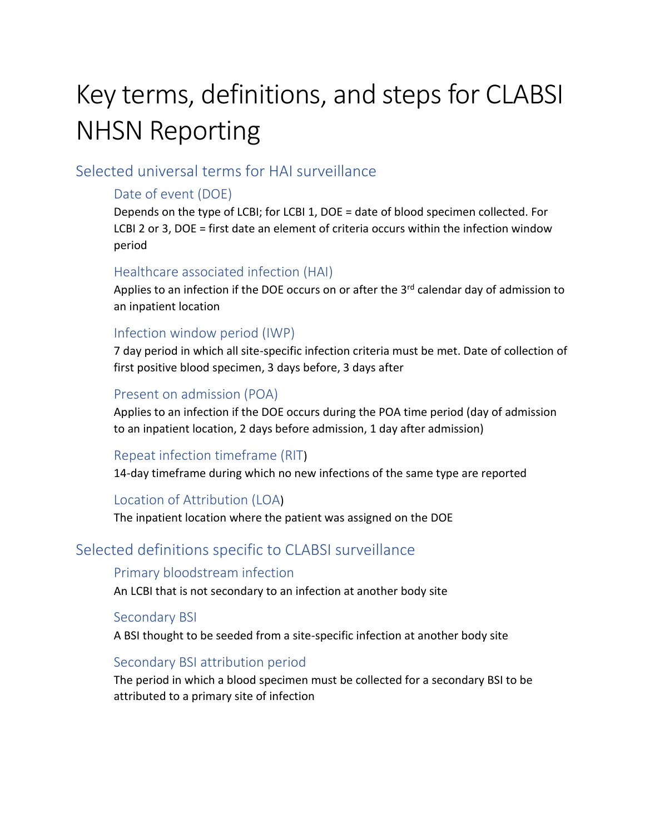# Key terms, definitions, and steps for CLABSI NHSN Reporting

# Selected universal terms for HAI surveillance

#### Date of event (DOE)

Depends on the type of LCBI; for LCBI 1, DOE = date of blood specimen collected. For LCBI 2 or 3, DOE = first date an element of criteria occurs within the infection window period

#### Healthcare associated infection (HAI)

Applies to an infection if the DOE occurs on or after the 3<sup>rd</sup> calendar day of admission to an inpatient location

#### Infection window period (IWP)

7 day period in which all site-specific infection criteria must be met. Date of collection of first positive blood specimen, 3 days before, 3 days after

#### Present on admission (POA)

Applies to an infection if the DOE occurs during the POA time period (day of admission to an inpatient location, 2 days before admission, 1 day after admission)

## Repeat infection timeframe (RIT)

14-day timeframe during which no new infections of the same type are reported

## Location of Attribution (LOA)

The inpatient location where the patient was assigned on the DOE

# Selected definitions specific to CLABSI surveillance

#### Primary bloodstream infection

An LCBI that is not secondary to an infection at another body site

#### Secondary BSI

A BSI thought to be seeded from a site-specific infection at another body site

#### Secondary BSI attribution period

The period in which a blood specimen must be collected for a secondary BSI to be attributed to a primary site of infection